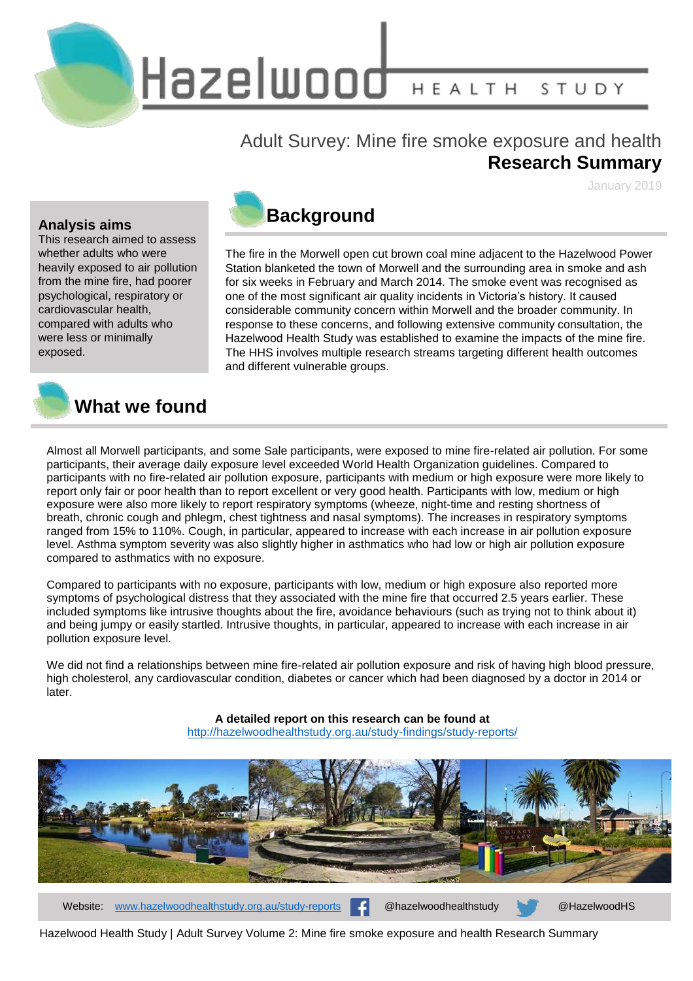Hazelwood HEALTH STUDY

### Adult Survey: Mine fire smoke exposure and health **Research Summary**

January 2019

#### **Analysis aims**

This research aimed to assess whether adults who were heavily exposed to air pollution from the mine fire, had poorer psychological, respiratory or cardiovascular health, compared with adults who were less or minimally exposed.



The fire in the Morwell open cut brown coal mine adjacent to the Hazelwood Power Station blanketed the town of Morwell and the surrounding area in smoke and ash for six weeks in February and March 2014. The smoke event was recognised as one of the most significant air quality incidents in Victoria's history. It caused considerable community concern within Morwell and the broader community. In response to these concerns, and following extensive community consultation, the Hazelwood Health Study was established to examine the impacts of the mine fire. The HHS involves multiple research streams targeting different health outcomes and different vulnerable groups.



### **What we found**

Almost all Morwell participants, and some Sale participants, were exposed to mine fire-related air pollution. For some participants, their average daily exposure level exceeded World Health Organization guidelines. Compared to participants with no fire-related air pollution exposure, participants with medium or high exposure were more likely to report only fair or poor health than to report excellent or very good health. Participants with low, medium or high exposure were also more likely to report respiratory symptoms (wheeze, night-time and resting shortness of breath, chronic cough and phlegm, chest tightness and nasal symptoms). The increases in respiratory symptoms ranged from 15% to 110%. Cough, in particular, appeared to increase with each increase in air pollution exposure level. Asthma symptom severity was also slightly higher in asthmatics who had low or high air pollution exposure compared to asthmatics with no exposure.

Compared to participants with no exposure, participants with low, medium or high exposure also reported more symptoms of psychological distress that they associated with the mine fire that occurred 2.5 years earlier. These included symptoms like intrusive thoughts about the fire, avoidance behaviours (such as trying not to think about it) and being jumpy or easily startled. Intrusive thoughts, in particular, appeared to increase with each increase in air pollution exposure level.

We did not find a relationships between mine fire-related air pollution exposure and risk of having high blood pressure, high cholesterol, any cardiovascular condition, diabetes or cancer which had been diagnosed by a doctor in 2014 or later.

> **A detailed report on this research can be found at** <http://hazelwoodhealthstudy.org.au/study-findings/study-reports/>



Website: [www.hazelwoodhealthstudy.org.au/study-reports](http://www.hazelwoodhealthstudy.org.au/study-reports) **Communist @hazelwoodhealthstudy @HazelwoodHS** 

Hazelwood Health Study | Adult Survey Volume 2: Mine fire smoke exposure and health Research Summary